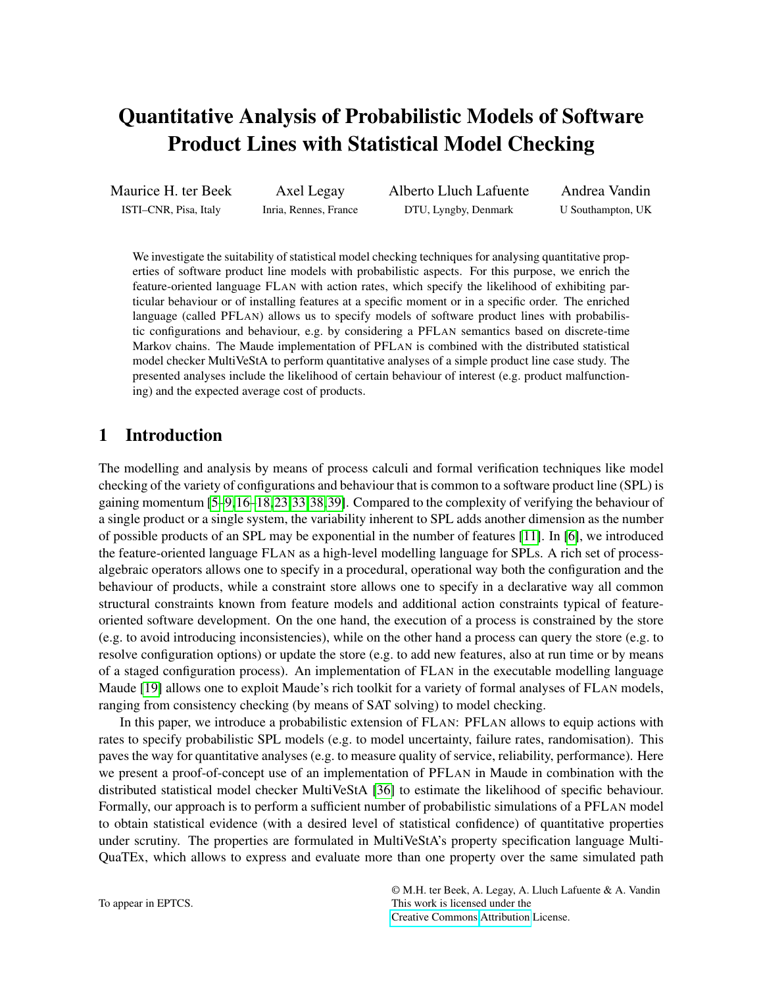# Quantitative Analysis of Probabilistic Models of Software Product Lines with Statistical Model Checking

Maurice H. ter Beek ISTI–CNR, Pisa, Italy

Axel Legay Inria, Rennes, France Alberto Lluch Lafuente DTU, Lyngby, Denmark

Andrea Vandin U Southampton, UK

We investigate the suitability of statistical model checking techniques for analysing quantitative properties of software product line models with probabilistic aspects. For this purpose, we enrich the feature-oriented language FLAN with action rates, which specify the likelihood of exhibiting particular behaviour or of installing features at a specific moment or in a specific order. The enriched language (called PFLAN) allows us to specify models of software product lines with probabilistic configurations and behaviour, e.g. by considering a PFLAN semantics based on discrete-time Markov chains. The Maude implementation of PFLAN is combined with the distributed statistical model checker MultiVeStA to perform quantitative analyses of a simple product line case study. The presented analyses include the likelihood of certain behaviour of interest (e.g. product malfunctioning) and the expected average cost of products.

# 1 Introduction

The modelling and analysis by means of process calculi and formal verification techniques like model checking of the variety of configurations and behaviour that is common to a software product line (SPL) is gaining momentum [\[5–](#page-12-0)[9,](#page-12-1)[16](#page-13-0)[–18,](#page-13-1)[23,](#page-13-2)[33,](#page-14-0)[38,](#page-14-1)[39\]](#page-14-2). Compared to the complexity of verifying the behaviour of a single product or a single system, the variability inherent to SPL adds another dimension as the number of possible products of an SPL may be exponential in the number of features [\[11\]](#page-12-2). In [\[6\]](#page-12-3), we introduced the feature-oriented language FLAN as a high-level modelling language for SPLs. A rich set of processalgebraic operators allows one to specify in a procedural, operational way both the configuration and the behaviour of products, while a constraint store allows one to specify in a declarative way all common structural constraints known from feature models and additional action constraints typical of featureoriented software development. On the one hand, the execution of a process is constrained by the store (e.g. to avoid introducing inconsistencies), while on the other hand a process can query the store (e.g. to resolve configuration options) or update the store (e.g. to add new features, also at run time or by means of a staged configuration process). An implementation of FLAN in the executable modelling language Maude [\[19\]](#page-13-3) allows one to exploit Maude's rich toolkit for a variety of formal analyses of FLAN models, ranging from consistency checking (by means of SAT solving) to model checking.

In this paper, we introduce a probabilistic extension of FLAN: PFLAN allows to equip actions with rates to specify probabilistic SPL models (e.g. to model uncertainty, failure rates, randomisation). This paves the way for quantitative analyses (e.g. to measure quality of service, reliability, performance). Here we present a proof-of-concept use of an implementation of PFLAN in Maude in combination with the distributed statistical model checker MultiVeStA [\[36\]](#page-14-3) to estimate the likelihood of specific behaviour. Formally, our approach is to perform a sufficient number of probabilistic simulations of a PFLAN model to obtain statistical evidence (with a desired level of statistical confidence) of quantitative properties under scrutiny. The properties are formulated in MultiVeStA's property specification language Multi-QuaTEx, which allows to express and evaluate more than one property over the same simulated path

© M.H. ter Beek, A. Legay, A. Lluch Lafuente & A. Vandin This work is licensed under the [Creative Commons](http://creativecommons.org) [Attribution](http://creativecommons.org/licenses/by/3.0/) License.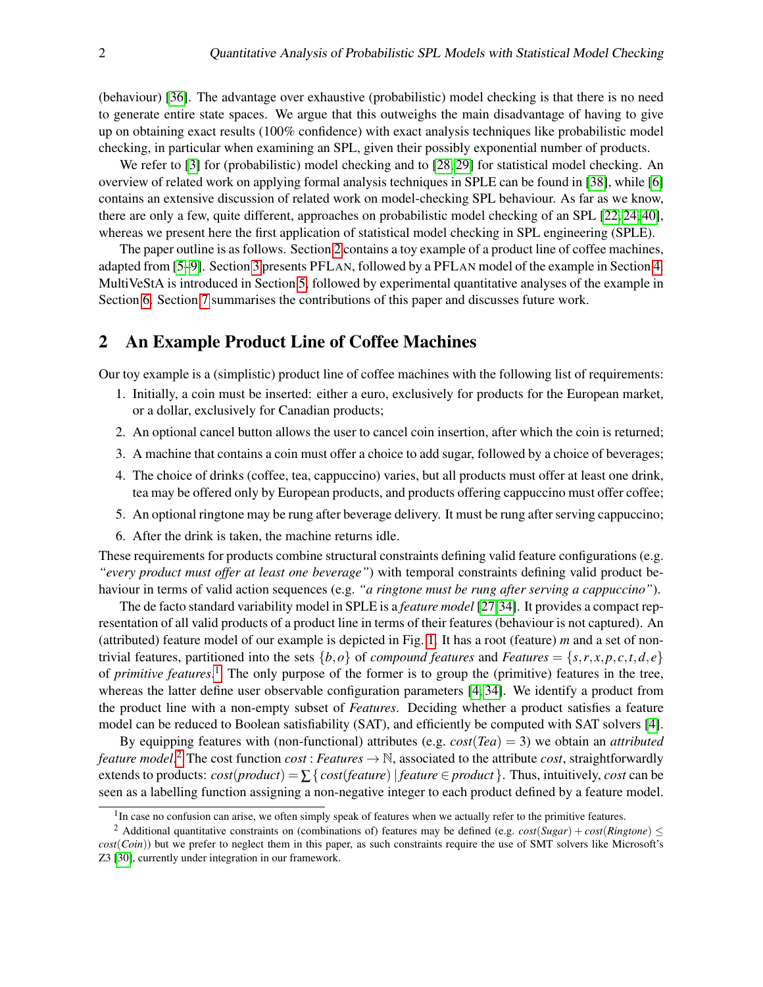(behaviour) [\[36\]](#page-14-3). The advantage over exhaustive (probabilistic) model checking is that there is no need to generate entire state spaces. We argue that this outweighs the main disadvantage of having to give up on obtaining exact results (100% confidence) with exact analysis techniques like probabilistic model checking, in particular when examining an SPL, given their possibly exponential number of products.

We refer to [\[3\]](#page-12-4) for (probabilistic) model checking and to [\[28,](#page-13-4) [29\]](#page-13-5) for statistical model checking. An overview of related work on applying formal analysis techniques in SPLE can be found in [\[38\]](#page-14-1), while [\[6\]](#page-12-3) contains an extensive discussion of related work on model-checking SPL behaviour. As far as we know, there are only a few, quite different, approaches on probabilistic model checking of an SPL [\[22,](#page-13-6) [24,](#page-13-7) [40\]](#page-14-4), whereas we present here the first application of statistical model checking in SPL engineering (SPLE).

The paper outline is as follows. Section [2](#page-1-0) contains a toy example of a product line of coffee machines, adapted from [\[5–](#page-12-0)[9\]](#page-12-1). Section [3](#page-2-0) presents PFLAN, followed by a PFLAN model of the example in Section [4.](#page-5-0) MultiVeStA is introduced in Section [5,](#page-7-0) followed by experimental quantitative analyses of the example in Section [6.](#page-7-1) Section [7](#page-11-0) summarises the contributions of this paper and discusses future work.

# <span id="page-1-0"></span>2 An Example Product Line of Coffee Machines

Our toy example is a (simplistic) product line of coffee machines with the following list of requirements:

- 1. Initially, a coin must be inserted: either a euro, exclusively for products for the European market, or a dollar, exclusively for Canadian products;
- 2. An optional cancel button allows the user to cancel coin insertion, after which the coin is returned;
- 3. A machine that contains a coin must offer a choice to add sugar, followed by a choice of beverages;
- 4. The choice of drinks (coffee, tea, cappuccino) varies, but all products must offer at least one drink, tea may be offered only by European products, and products offering cappuccino must offer coffee;
- 5. An optional ringtone may be rung after beverage delivery. It must be rung after serving cappuccino;
- 6. After the drink is taken, the machine returns idle.

These requirements for products combine structural constraints defining valid feature configurations (e.g. *"every product must offer at least one beverage"*) with temporal constraints defining valid product behaviour in terms of valid action sequences (e.g. *"a ringtone must be rung after serving a cappuccino"*).

The de facto standard variability model in SPLE is a *feature model* [\[27](#page-13-8)[,34\]](#page-14-5). It provides a compact representation of all valid products of a product line in terms of their features (behaviour is not captured). An (attributed) feature model of our example is depicted in Fig. [1.](#page-2-1) It has a root (feature) *m* and a set of nontrivial features, partitioned into the sets  $\{b, o\}$  of *compound features* and *Features* =  $\{s, r, x, p, c, t, d, e\}$ of *primitive features*. [1](#page-1-1) The only purpose of the former is to group the (primitive) features in the tree, whereas the latter define user observable configuration parameters [\[4,](#page-12-5) [34\]](#page-14-5). We identify a product from the product line with a non-empty subset of *Features*. Deciding whether a product satisfies a feature model can be reduced to Boolean satisfiability (SAT), and efficiently be computed with SAT solvers [\[4\]](#page-12-5).

By equipping features with (non-functional) attributes (e.g.  $cost(Tea) = 3$ ) we obtain an *attributed feature model.* <sup>[2](#page-1-2)</sup> The cost function *cost* : *Features*  $\rightarrow$  N, associated to the attribute *cost*, straightforwardly extends to products:  $cost(pred) = \sum \{ cost(feature) | feature \in product \}$ . Thus, intuitively, *cost* can be seen as a labelling function assigning a non-negative integer to each product defined by a feature model.

<span id="page-1-2"></span><span id="page-1-1"></span><sup>&</sup>lt;sup>1</sup>In case no confusion can arise, we often simply speak of features when we actually refer to the primitive features.

<sup>&</sup>lt;sup>2</sup> Additional quantitative constraints on (combinations of) features may be defined (e.g.  $cost(Sugar) + cost(Ringtone) \leq$ *cost*(*Coin*)) but we prefer to neglect them in this paper, as such constraints require the use of SMT solvers like Microsoft's Z3 [\[30\]](#page-14-6), currently under integration in our framework.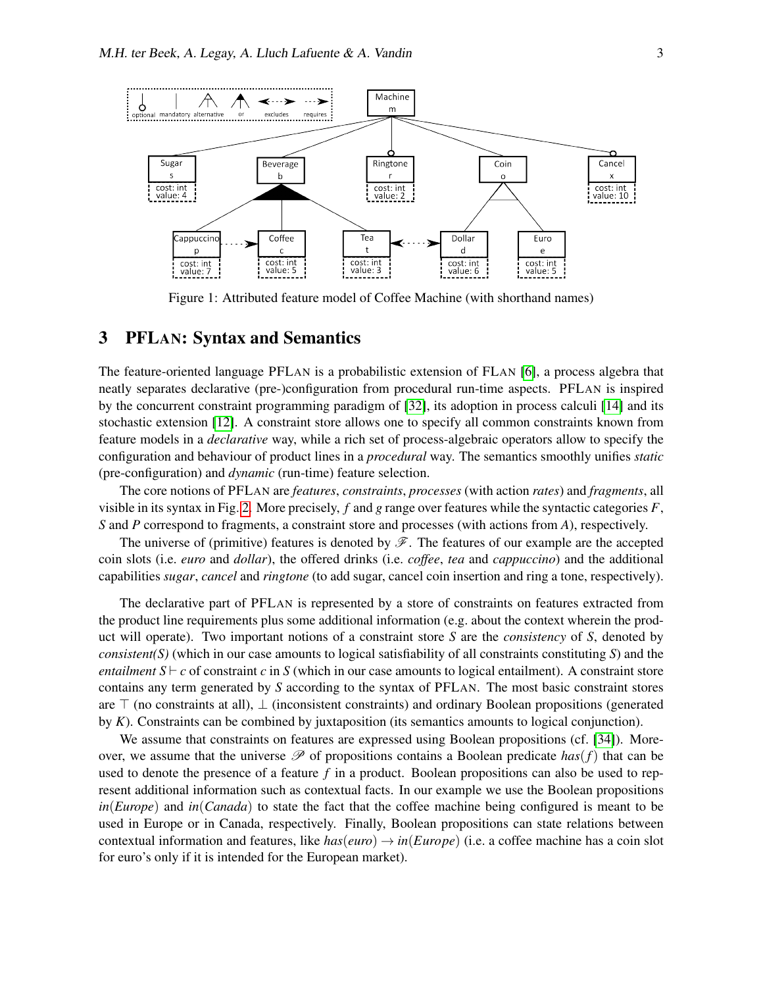

<span id="page-2-1"></span>Figure 1: Attributed feature model of Coffee Machine (with shorthand names)

# <span id="page-2-0"></span>3 PFLAN: Syntax and Semantics

The feature-oriented language PFLAN is a probabilistic extension of FLAN [\[6\]](#page-12-3), a process algebra that neatly separates declarative (pre-)configuration from procedural run-time aspects. PFLAN is inspired by the concurrent constraint programming paradigm of [\[32\]](#page-14-7), its adoption in process calculi [\[14\]](#page-13-9) and its stochastic extension [\[12\]](#page-13-10). A constraint store allows one to specify all common constraints known from feature models in a *declarative* way, while a rich set of process-algebraic operators allow to specify the configuration and behaviour of product lines in a *procedural* way. The semantics smoothly unifies *static* (pre-configuration) and *dynamic* (run-time) feature selection.

The core notions of PFLAN are *features*, *constraints*, *processes* (with action *rates*) and *fragments*, all visible in its syntax in Fig. [2.](#page-3-0) More precisely, *f* and *g* range over features while the syntactic categories *F*, *S* and *P* correspond to fragments, a constraint store and processes (with actions from *A*), respectively.

The universe of (primitive) features is denoted by  $\mathscr{F}$ . The features of our example are the accepted coin slots (i.e. *euro* and *dollar*), the offered drinks (i.e. *coffee*, *tea* and *cappuccino*) and the additional capabilities *sugar*, *cancel* and *ringtone* (to add sugar, cancel coin insertion and ring a tone, respectively).

The declarative part of PFLAN is represented by a store of constraints on features extracted from the product line requirements plus some additional information (e.g. about the context wherein the product will operate). Two important notions of a constraint store *S* are the *consistency* of *S*, denoted by *consistent(S)* (which in our case amounts to logical satisfiability of all constraints constituting *S*) and the *entailment*  $S \vdash c$  of constraint *c* in *S* (which in our case amounts to logical entailment). A constraint store contains any term generated by *S* according to the syntax of PFLAN. The most basic constraint stores are  $\top$  (no constraints at all),  $\bot$  (inconsistent constraints) and ordinary Boolean propositions (generated by *K*). Constraints can be combined by juxtaposition (its semantics amounts to logical conjunction).

We assume that constraints on features are expressed using Boolean propositions (cf. [\[34\]](#page-14-5)). Moreover, we assume that the universe  $\mathscr P$  of propositions contains a Boolean predicate  $has(f)$  that can be used to denote the presence of a feature *f* in a product. Boolean propositions can also be used to represent additional information such as contextual facts. In our example we use the Boolean propositions *in*(*Europe*) and *in*(*Canada*) to state the fact that the coffee machine being configured is meant to be used in Europe or in Canada, respectively. Finally, Boolean propositions can state relations between contextual information and features, like  $has(euro) \rightarrow in(Europe)$  (i.e. a coffee machine has a coin slot for euro's only if it is intended for the European market).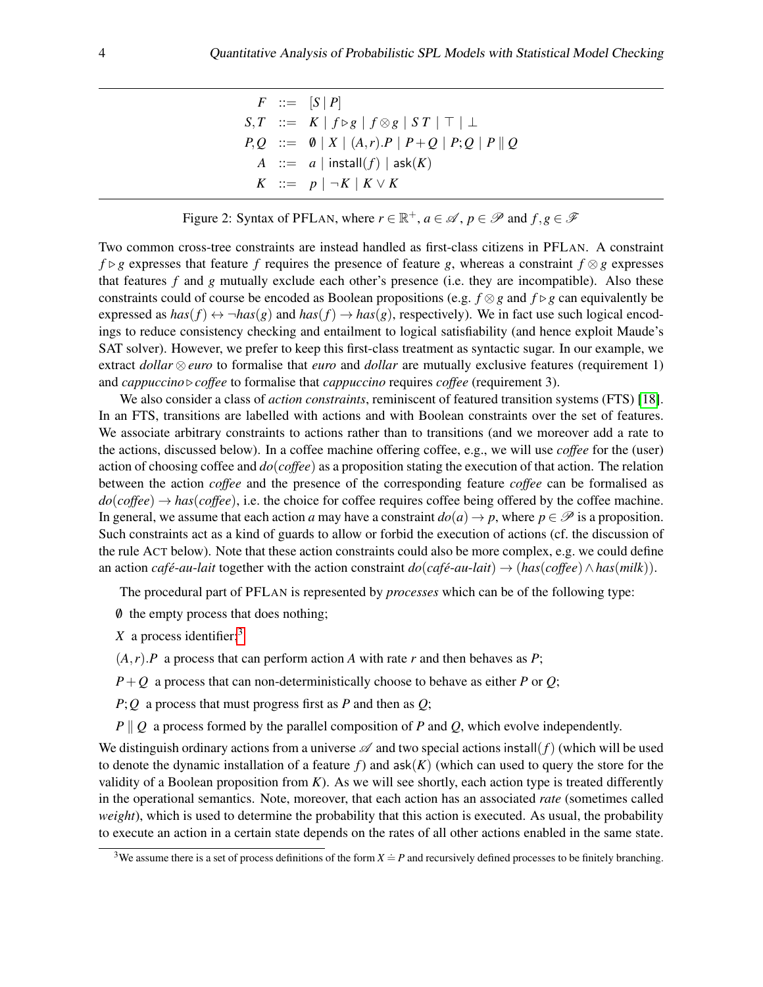$F$  ::=  $[S | P]$  $S,T$  ::=  $K | f \triangleright g | f \otimes g | S T | T | \perp$ *P*, *Q* ::=  $\emptyset$  | *X* | (*A*,*r*).*P* | *P* + *Q* | *P*; *Q* | *P* || *Q A* ::= *a* | install(*f*) | ask(*K*) *K* ::=  $p | ∎K | K ∨ K$ 

<span id="page-3-0"></span>Figure 2: Syntax of PFLAN, where  $r \in \mathbb{R}^+$ ,  $a \in \mathcal{A}$ ,  $p \in \mathcal{P}$  and  $f, g \in \mathcal{F}$ 

Two common cross-tree constraints are instead handled as first-class citizens in PFLAN. A constraint *f* ⊳ *g* expresses that feature *f* requires the presence of feature *g*, whereas a constraint  $f \otimes g$  expresses that features *f* and *g* mutually exclude each other's presence (i.e. they are incompatible). Also these constraints could of course be encoded as Boolean propositions (e.g.  $f \otimes g$  and  $f \triangleright g$  can equivalently be expressed as  $has(f) \leftrightarrow \neg has(g)$  and  $has(f) \rightarrow has(g)$ , respectively). We in fact use such logical encodings to reduce consistency checking and entailment to logical satisfiability (and hence exploit Maude's SAT solver). However, we prefer to keep this first-class treatment as syntactic sugar. In our example, we extract *dollar* ⊗ *euro* to formalise that *euro* and *dollar* are mutually exclusive features (requirement 1) and *cappuccino*  $\triangleright$  *coffee* to formalise that *cappuccino* requires *coffee* (requirement 3).

We also consider a class of *action constraints*, reminiscent of featured transition systems (FTS) [\[18\]](#page-13-1). In an FTS, transitions are labelled with actions and with Boolean constraints over the set of features. We associate arbitrary constraints to actions rather than to transitions (and we moreover add a rate to the actions, discussed below). In a coffee machine offering coffee, e.g., we will use *coffee* for the (user) action of choosing coffee and *do*(*coffee*) as a proposition stating the execution of that action. The relation between the action *coffee* and the presence of the corresponding feature *coffee* can be formalised as  $do(coffee) \rightarrow has(coffee)$ , i.e. the choice for coffee requires coffee being offered by the coffee machine. In general, we assume that each action *a* may have a constraint  $do(a) \rightarrow p$ , where  $p \in \mathcal{P}$  is a proposition. Such constraints act as a kind of guards to allow or forbid the execution of actions (cf. the discussion of the rule ACT below). Note that these action constraints could also be more complex, e.g. we could define an action *café*-*au*-*lait* together with the action constraint  $do(café-au$ -*lait*)  $\rightarrow (has(coffee) \land has(milk))$ .

The procedural part of PFLAN is represented by *processes* which can be of the following type:

- /0 the empty process that does nothing;
- *X* a process identifier;<sup>[3](#page-3-1)</sup>

 $(A, r)$ . *P* a process that can perform action *A* with rate *r* and then behaves as *P*;

 $P+Q$  a process that can non-deterministically choose to behave as either *P* or *Q*;

*P*;*Q* a process that must progress first as *P* and then as *Q*;

 $P \parallel Q$  a process formed by the parallel composition of *P* and *Q*, which evolve independently.

We distinguish ordinary actions from a universe  $\mathscr A$  and two special actions install( $f$ ) (which will be used to denote the dynamic installation of a feature  $f$ ) and  $ask(K)$  (which can used to query the store for the validity of a Boolean proposition from  $K$ ). As we will see shortly, each action type is treated differently in the operational semantics. Note, moreover, that each action has an associated *rate* (sometimes called *weight*), which is used to determine the probability that this action is executed. As usual, the probability to execute an action in a certain state depends on the rates of all other actions enabled in the same state.

<span id="page-3-1"></span><sup>&</sup>lt;sup>3</sup>We assume there is a set of process definitions of the form  $X \doteq P$  and recursively defined processes to be finitely branching.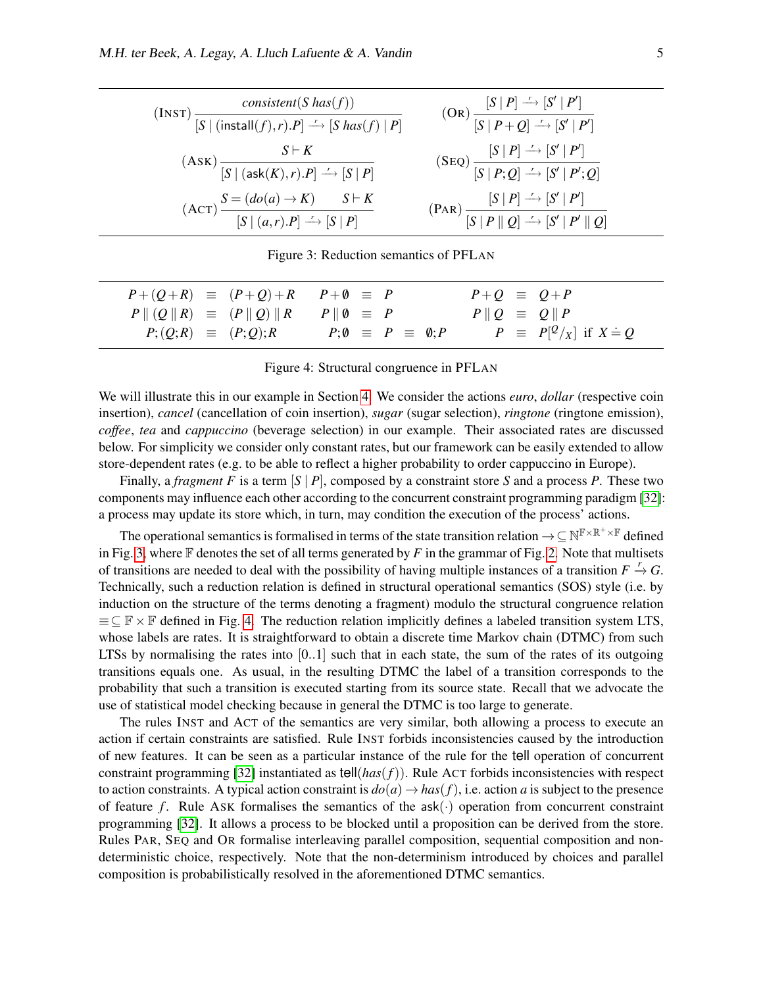| (INST) $\frac{consistent(S \text{ has}(f))}{[S \mid (install(f), r).P] \longrightarrow [S \text{ has}(f) \mid P]}$ | $(OR)$ $\frac{[S   P] \rightarrow [S'   P']}$<br>$[S   P + Q] \rightarrow [S'   P']$                                                                                                                                                                                                                                         |
|--------------------------------------------------------------------------------------------------------------------|------------------------------------------------------------------------------------------------------------------------------------------------------------------------------------------------------------------------------------------------------------------------------------------------------------------------------|
| $S \vdash K$<br>$(ASK)$<br>$\frac{S \vdash K}{[S   (ask(K), r).P] \xrightarrow{r} [S   P]}$                        | $(SEQ)$ $\frac{[S   P] \xrightarrow{r} [S'   P']}{[S   P; Q] \xrightarrow{r} [S'   P'; Q]}$                                                                                                                                                                                                                                  |
| $(\text{ACT})$ $\frac{S = (do(a) \rightarrow K) \qquad S \vdash K}{[S \mid (a, r).P] \xrightarrow{r} [S \mid P]}$  | $\frac{\begin{bmatrix} S & P \end{bmatrix} \xrightarrow{S'} \begin{bmatrix} S' & P' \end{bmatrix}}{\begin{bmatrix} S & P \end{bmatrix} \begin{bmatrix} S & P \end{bmatrix} \begin{bmatrix} Q & \xrightarrow{\sim} \begin{bmatrix} S' & P' \end{bmatrix} \begin{bmatrix} Y' & \end{bmatrix} \begin{bmatrix} Q \end{bmatrix}}$ |

<span id="page-4-0"></span>Figure 3: Reduction semantics of PFLAN

| $P+(Q+R) \equiv (P+Q)+R$ $P+\emptyset \equiv P$                  |                                           | $P+Q \equiv Q+P$                |
|------------------------------------------------------------------|-------------------------------------------|---------------------------------|
| $P \parallel (Q \parallel R) \equiv (P \parallel Q) \parallel R$ | $P \parallel \emptyset \equiv P$          | $P \parallel Q = Q \parallel P$ |
| $P; (Q; R) \equiv (P; Q); R$                                     | $P;\emptyset \equiv P \equiv \emptyset;P$ | $P \equiv P[^{Q}/x]$ if $X = Q$ |

<span id="page-4-1"></span>Figure 4: Structural congruence in PFLAN

We will illustrate this in our example in Section [4.](#page-5-0) We consider the actions *euro*, *dollar* (respective coin insertion), *cancel* (cancellation of coin insertion), *sugar* (sugar selection), *ringtone* (ringtone emission), *coffee*, *tea* and *cappuccino* (beverage selection) in our example. Their associated rates are discussed below. For simplicity we consider only constant rates, but our framework can be easily extended to allow store-dependent rates (e.g. to be able to reflect a higher probability to order cappuccino in Europe).

Finally, a *fragment F* is a term [*S* | *P*], composed by a constraint store *S* and a process *P*. These two components may influence each other according to the concurrent constraint programming paradigm [\[32\]](#page-14-7): a process may update its store which, in turn, may condition the execution of the process' actions.

The operational semantics is formalised in terms of the state transition relation  $\to \subseteq N^{\mathbb{F} \times \mathbb{R}^+ \times \mathbb{F}}$  defined in Fig. [3,](#page-4-0) where  $\mathbb F$  denotes the set of all terms generated by  $F$  in the grammar of Fig. [2.](#page-3-0) Note that multisets of transitions are needed to deal with the possibility of having multiple instances of a transition  $F \stackrel{r}{\rightarrow} G$ . Technically, such a reduction relation is defined in structural operational semantics (SOS) style (i.e. by induction on the structure of the terms denoting a fragment) modulo the structural congruence relation  $\equiv \subseteq \mathbb{F} \times \mathbb{F}$  defined in Fig. [4.](#page-4-1) The reduction relation implicitly defines a labeled transition system LTS, whose labels are rates. It is straightforward to obtain a discrete time Markov chain (DTMC) from such LTSs by normalising the rates into  $[0..1]$  such that in each state, the sum of the rates of its outgoing transitions equals one. As usual, in the resulting DTMC the label of a transition corresponds to the probability that such a transition is executed starting from its source state. Recall that we advocate the use of statistical model checking because in general the DTMC is too large to generate.

The rules INST and ACT of the semantics are very similar, both allowing a process to execute an action if certain constraints are satisfied. Rule INST forbids inconsistencies caused by the introduction of new features. It can be seen as a particular instance of the rule for the tell operation of concurrent constraint programming [\[32\]](#page-14-7) instantiated as  $\text{tell}(has(f))$ . Rule ACT forbids inconsistencies with respect to action constraints. A typical action constraint is  $d\rho(a) \rightarrow has(f)$ , i.e. action *a* is subject to the presence of feature  $f$ . Rule ASK formalises the semantics of the  $ask(\cdot)$  operation from concurrent constraint programming [\[32\]](#page-14-7). It allows a process to be blocked until a proposition can be derived from the store. Rules PAR, SEQ and OR formalise interleaving parallel composition, sequential composition and nondeterministic choice, respectively. Note that the non-determinism introduced by choices and parallel composition is probabilistically resolved in the aforementioned DTMC semantics.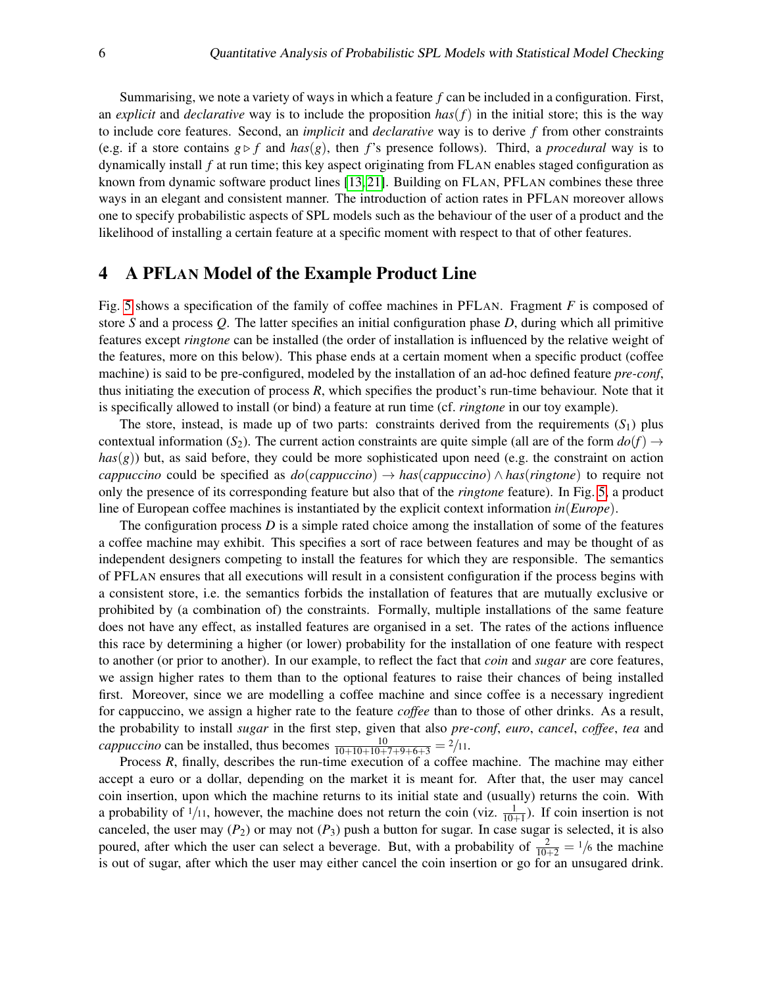Summarising, we note a variety of ways in which a feature *f* can be included in a configuration. First, an *explicit* and *declarative* way is to include the proposition  $has(f)$  in the initial store; this is the way to include core features. Second, an *implicit* and *declarative* way is to derive *f* from other constraints (e.g. if a store contains  $g \triangleright f$  and  $has(g)$ , then *f*'s presence follows). Third, a *procedural* way is to dynamically install *f* at run time; this key aspect originating from FLAN enables staged configuration as known from dynamic software product lines [\[13,](#page-13-11) [21\]](#page-13-12). Building on FLAN, PFLAN combines these three ways in an elegant and consistent manner. The introduction of action rates in PFLAN moreover allows one to specify probabilistic aspects of SPL models such as the behaviour of the user of a product and the likelihood of installing a certain feature at a specific moment with respect to that of other features.

#### <span id="page-5-0"></span>4 A PFLAN Model of the Example Product Line

Fig. [5](#page-6-0) shows a specification of the family of coffee machines in PFLAN. Fragment *F* is composed of store *S* and a process *Q*. The latter specifies an initial configuration phase *D*, during which all primitive features except *ringtone* can be installed (the order of installation is influenced by the relative weight of the features, more on this below). This phase ends at a certain moment when a specific product (coffee machine) is said to be pre-configured, modeled by the installation of an ad-hoc defined feature *pre-conf*, thus initiating the execution of process *R*, which specifies the product's run-time behaviour. Note that it is specifically allowed to install (or bind) a feature at run time (cf. *ringtone* in our toy example).

The store, instead, is made up of two parts: constraints derived from the requirements  $(S_1)$  plus contextual information (*S*<sub>2</sub>). The current action constraints are quite simple (all are of the form  $dof$ )  $\rightarrow$  $has(g)$ ) but, as said before, they could be more sophisticated upon need (e.g. the constraint on action *cappuccino* could be specified as *do*(*cappuccino*) → *has*(*cappuccino*) ∧ *has*(*ringtone*) to require not only the presence of its corresponding feature but also that of the *ringtone* feature). In Fig. [5,](#page-6-0) a product line of European coffee machines is instantiated by the explicit context information *in*(*Europe*).

The configuration process *D* is a simple rated choice among the installation of some of the features a coffee machine may exhibit. This specifies a sort of race between features and may be thought of as independent designers competing to install the features for which they are responsible. The semantics of PFLAN ensures that all executions will result in a consistent configuration if the process begins with a consistent store, i.e. the semantics forbids the installation of features that are mutually exclusive or prohibited by (a combination of) the constraints. Formally, multiple installations of the same feature does not have any effect, as installed features are organised in a set. The rates of the actions influence this race by determining a higher (or lower) probability for the installation of one feature with respect to another (or prior to another). In our example, to reflect the fact that *coin* and *sugar* are core features, we assign higher rates to them than to the optional features to raise their chances of being installed first. Moreover, since we are modelling a coffee machine and since coffee is a necessary ingredient for cappuccino, we assign a higher rate to the feature *coffee* than to those of other drinks. As a result, the probability to install *sugar* in the first step, given that also *pre-conf*, *euro*, *cancel*, *coffee*, *tea* and *cappuccino* can be installed, thus becomes  $\frac{10}{10+10+10+7+9+6+3} = \frac{2}{11}$ .

Process *R*, finally, describes the run-time execution of a coffee machine. The machine may either accept a euro or a dollar, depending on the market it is meant for. After that, the user may cancel coin insertion, upon which the machine returns to its initial state and (usually) returns the coin. With a probability of  $1/11$ , however, the machine does not return the coin (viz.  $\frac{1}{10+1}$ ). If coin insertion is not canceled, the user may  $(P_2)$  or may not  $(P_3)$  push a button for sugar. In case sugar is selected, it is also poured, after which the user can select a beverage. But, with a probability of  $\frac{2}{10+2} = \frac{1}{6}$  the machine is out of sugar, after which the user may either cancel the coin insertion or go for an unsugared drink.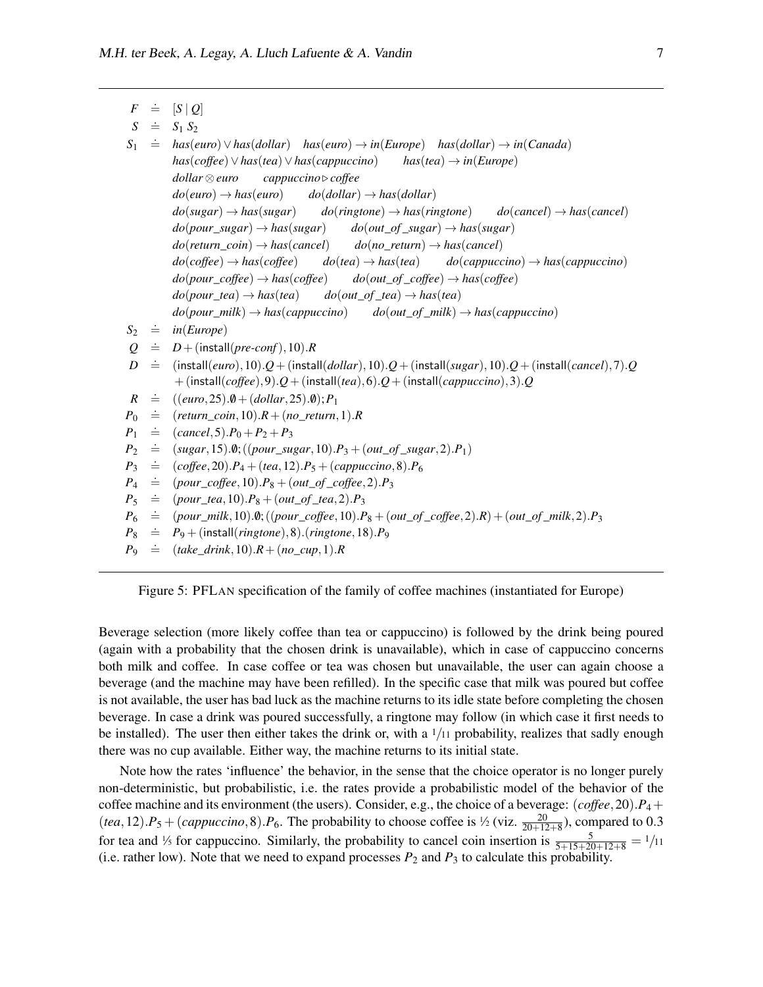*S*

*S*1

*D*

*R*

 $F \doteq$ .= [*<sup>S</sup>* <sup>|</sup> *<sup>Q</sup>*]  $\dot{=}$   $S_1 S_2$ .<sup>=</sup> *has*(*euro*)∨*has*(*dollar*) *has*(*euro*) <sup>→</sup> *in*(*Europe*) *has*(*dollar*) <sup>→</sup> *in*(*Canada*) *has*(*coffee*)∨*has*(*tea*)∨*has*(*cappuccino*) *has*(*tea*) → *in*(*Europe*) *dollar* ⊗*euro cappuccino* . *coffee*  $do(euro) \rightarrow has(euro)$   $do(dollar) \rightarrow has(dollar)$  $do(sugar) \rightarrow has(sugar)$   $do(ring tone) \rightarrow has(ring tone)$   $do(cancel) \rightarrow has(cancel)$  $do(pour\_sugar) \rightarrow has(sugar)$  *do*(*out\_of\_sugar*)  $\rightarrow has(sugar)$  $do(return\_coin) \rightarrow has(cancel)$   $do(no\_return) \rightarrow has(cancel)$  $do(coffee) \rightarrow has(coffee)$   $do(tea) \rightarrow has(tea)$   $do(cappuccino) \rightarrow has(cappuccino)$  $do(pour\_coffee) \rightarrow has(coffee)$   $do(out\_of\_coffee) \rightarrow has(coffee)$  $do(pour\_tea) \rightarrow has(tea)$  *do*(*out\_of\_tea*)  $\rightarrow has(tea)$  $do(pour$   $milk) \rightarrow has(cappuccino)$   $do(out \ of \ milk) \rightarrow has(cappuccino)$  $S_2 \doteq$  $in(Europe)$  $Q \equiv D + ($ install(*pre-conf*),10).*R*  $\dot{=}$  (install(*euro*),10).*Q* + (install(*dollar*),10).*Q* + (install(*sugar*),10).*Q* + (install(*cancel*),7).*Q* + (install(*coffee*),9).*Q*+ (install(*tea*),6).*Q*+ (install(*cappuccino*),3).*Q*  $=$   $((euro, 25).0 + (dollar, 25).0); P_1$ 

- *P*0  $\dot{=}$  (*return\_coin*, 10). $R + (no\_return, 1)$ .*R*
- *P*1  $\dot{=}$  (*cancel*, 5).  $P_0 + P_2 + P_3$
- *P*2  $\dot{=}$  (*sugar*, 15). $\theta$ ; ((*pour\_sugar*, 10). $P_3 + (out\_of\_sugar, 2)$ . $P_1$ )
- *P*3  $\dot{=}$  (*coffee*, 20).*P*<sub>4</sub> + (*tea*, 12).*P*<sub>5</sub> + (*cappuccino*, 8).*P*<sub>6</sub>
- *P*4  $\dot{=}$  (*pour\_coffee*, 10). $P_8 + (out\_of\_cofree, 2)$ . $P_3$
- *P*<sub>5</sub>  $\dot{=}$  (*pour\_tea*, 10). $P_8 + (out\_of\_tea, 2)$ . $P_3$
- $P<sub>6</sub>$  $\dot{=}$  (*pour\_milk*, 10). $\theta$ ;((*pour\_coffee*, 10). $P_8 + (out\_of\_cofree, 2)$ .*R*) + (*out\_of\_milk*, 2).*P*<sub>3</sub>
- *P*8  $\dot{p} = P_9 + (install(*ringtone*), 8).(*ringtone*, 18).$ *P*<sub>9</sub>
- *P*9  $\dot{=}$  (*take\_drink*, 10). $R + (no\_cup, 1)$ .*R*

<span id="page-6-0"></span>Figure 5: PFLAN specification of the family of coffee machines (instantiated for Europe)

Beverage selection (more likely coffee than tea or cappuccino) is followed by the drink being poured (again with a probability that the chosen drink is unavailable), which in case of cappuccino concerns both milk and coffee. In case coffee or tea was chosen but unavailable, the user can again choose a beverage (and the machine may have been refilled). In the specific case that milk was poured but coffee is not available, the user has bad luck as the machine returns to its idle state before completing the chosen beverage. In case a drink was poured successfully, a ringtone may follow (in which case it first needs to be installed). The user then either takes the drink or, with a  $1/11$  probability, realizes that sadly enough there was no cup available. Either way, the machine returns to its initial state.

Note how the rates 'influence' the behavior, in the sense that the choice operator is no longer purely non-deterministic, but probabilistic, i.e. the rates provide a probabilistic model of the behavior of the coffee machine and its environment (the users). Consider, e.g., the choice of a beverage:  $(coffee, 20)$ . $P_4$  +  $(tea, 12) \cdot P_5 + (cappuccino, 8) \cdot P_6$ . The probability to choose coffee is  $\frac{1}{2}$  (viz.  $\frac{20}{20+12+8}$ ), compared to 0.3 for tea and  $\frac{1}{5}$  for cappuccino. Similarly, the probability to cancel coin insertion is  $\frac{5}{5+15+20+12+8} = \frac{1}{11}$ (i.e. rather low). Note that we need to expand processes  $P_2$  and  $P_3$  to calculate this probability.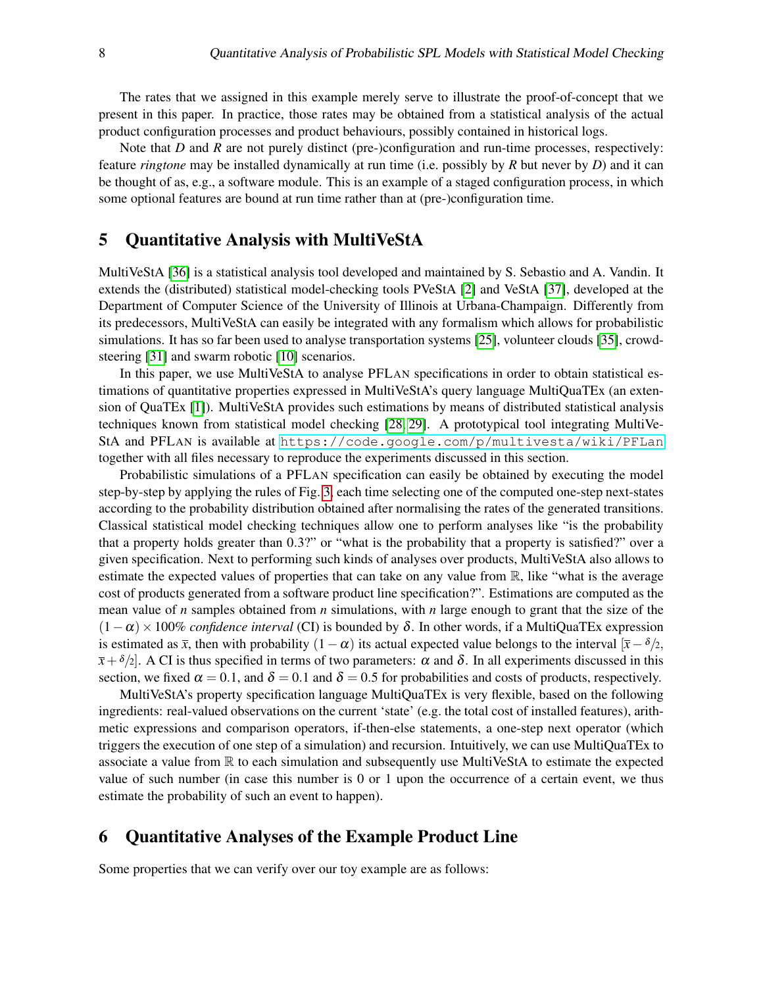The rates that we assigned in this example merely serve to illustrate the proof-of-concept that we present in this paper. In practice, those rates may be obtained from a statistical analysis of the actual product configuration processes and product behaviours, possibly contained in historical logs.

Note that *D* and *R* are not purely distinct (pre-)configuration and run-time processes, respectively: feature *ringtone* may be installed dynamically at run time (i.e. possibly by *R* but never by *D*) and it can be thought of as, e.g., a software module. This is an example of a staged configuration process, in which some optional features are bound at run time rather than at (pre-)configuration time.

#### <span id="page-7-0"></span>5 Quantitative Analysis with MultiVeStA

MultiVeStA [\[36\]](#page-14-3) is a statistical analysis tool developed and maintained by S. Sebastio and A. Vandin. It extends the (distributed) statistical model-checking tools PVeStA [\[2\]](#page-12-6) and VeStA [\[37\]](#page-14-8), developed at the Department of Computer Science of the University of Illinois at Urbana-Champaign. Differently from its predecessors, MultiVeStA can easily be integrated with any formalism which allows for probabilistic simulations. It has so far been used to analyse transportation systems [\[25\]](#page-13-13), volunteer clouds [\[35\]](#page-14-9), crowdsteering [\[31\]](#page-14-10) and swarm robotic [\[10\]](#page-12-7) scenarios.

In this paper, we use MultiVeStA to analyse PFLAN specifications in order to obtain statistical estimations of quantitative properties expressed in MultiVeStA's query language MultiQuaTEx (an extension of QuaTEx [\[1\]](#page-12-8)). MultiVeStA provides such estimations by means of distributed statistical analysis techniques known from statistical model checking [\[28,](#page-13-4) [29\]](#page-13-5). A prototypical tool integrating MultiVe-StA and PFLAN is available at <https://code.google.com/p/multivesta/wiki/PFLan> together with all files necessary to reproduce the experiments discussed in this section.

Probabilistic simulations of a PFLAN specification can easily be obtained by executing the model step-by-step by applying the rules of Fig. [3,](#page-4-0) each time selecting one of the computed one-step next-states according to the probability distribution obtained after normalising the rates of the generated transitions. Classical statistical model checking techniques allow one to perform analyses like "is the probability that a property holds greater than 0.3?" or "what is the probability that a property is satisfied?" over a given specification. Next to performing such kinds of analyses over products, MultiVeStA also allows to estimate the expected values of properties that can take on any value from  $\mathbb{R}$ , like "what is the average cost of products generated from a software product line specification?". Estimations are computed as the mean value of *n* samples obtained from *n* simulations, with *n* large enough to grant that the size of the  $(1-\alpha) \times 100\%$  *confidence interval* (CI) is bounded by  $\delta$ . In other words, if a MultiQuaTEx expression is estimated as  $\bar{x}$ , then with probability  $(1 - \alpha)$  its actual expected value belongs to the interval  $[\bar{x} - \delta/2,$  $\bar{x}+\delta/2$ . A CI is thus specified in terms of two parameters:  $\alpha$  and  $\delta$ . In all experiments discussed in this section, we fixed  $\alpha = 0.1$ , and  $\delta = 0.1$  and  $\delta = 0.5$  for probabilities and costs of products, respectively.

MultiVeStA's property specification language MultiQuaTEx is very flexible, based on the following ingredients: real-valued observations on the current 'state' (e.g. the total cost of installed features), arithmetic expressions and comparison operators, if-then-else statements, a one-step next operator (which triggers the execution of one step of a simulation) and recursion. Intuitively, we can use MultiQuaTEx to associate a value from R to each simulation and subsequently use MultiVeStA to estimate the expected value of such number (in case this number is 0 or 1 upon the occurrence of a certain event, we thus estimate the probability of such an event to happen).

## <span id="page-7-1"></span>6 Quantitative Analyses of the Example Product Line

Some properties that we can verify over our toy example are as follows: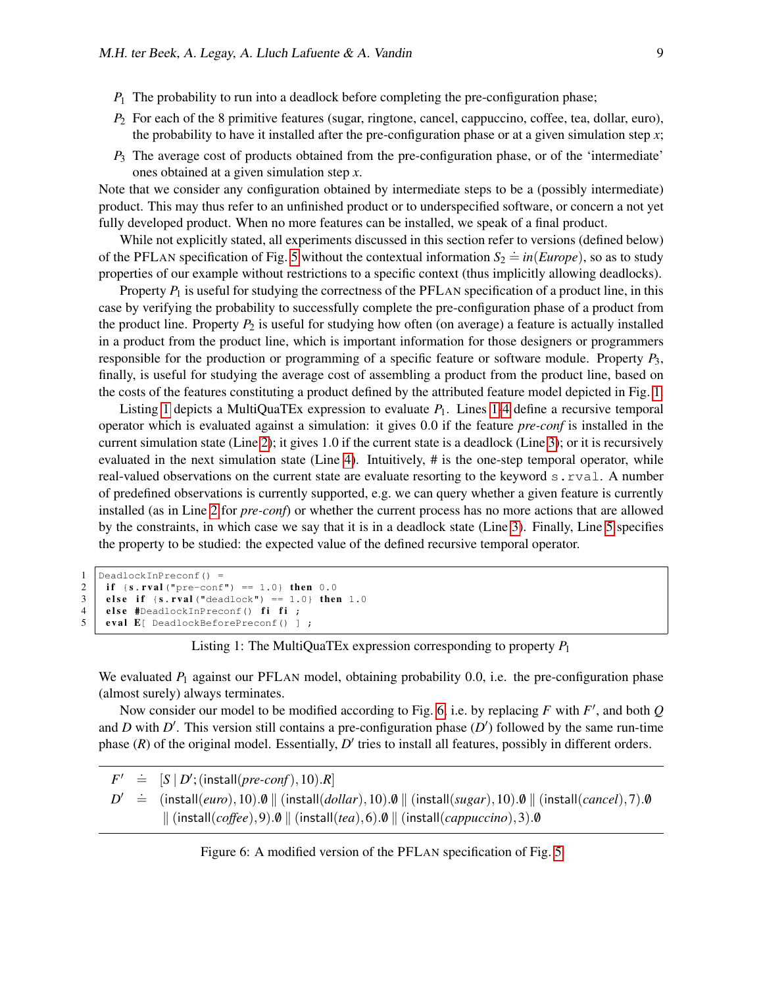- $P_1$  The probability to run into a deadlock before completing the pre-configuration phase;
- *P*<sub>2</sub> For each of the 8 primitive features (sugar, ringtone, cancel, cappuccino, coffee, tea, dollar, euro), the probability to have it installed after the pre-configuration phase or at a given simulation step  $x$ ;
- *P*<sup>3</sup> The average cost of products obtained from the pre-configuration phase, or of the 'intermediate' ones obtained at a given simulation step *x*.

Note that we consider any configuration obtained by intermediate steps to be a (possibly intermediate) product. This may thus refer to an unfinished product or to underspecified software, or concern a not yet fully developed product. When no more features can be installed, we speak of a final product.

While not explicitly stated, all experiments discussed in this section refer to versions (defined below) of the PFLAN specification of Fig. [5](#page-6-0) without the contextual information  $S_2 \doteq in(Europe)$ , so as to study properties of our example without restrictions to a specific context (thus implicitly allowing deadlocks).

Property  $P_1$  is useful for studying the correctness of the PFLAN specification of a product line, in this case by verifying the probability to successfully complete the pre-configuration phase of a product from the product line. Property  $P_2$  is useful for studying how often (on average) a feature is actually installed in a product from the product line, which is important information for those designers or programmers responsible for the production or programming of a specific feature or software module. Property *P*3, finally, is useful for studying the average cost of assembling a product from the product line, based on the costs of the features constituting a product defined by the attributed feature model depicted in Fig. [1.](#page-2-1)

Listing [1](#page-8-1) depicts a MultiQuaTEx expression to evaluate  $P_1$ . Lines 1[-4](#page-8-2) define a recursive temporal operator which is evaluated against a simulation: it gives 0.0 if the feature *pre-conf* is installed in the current simulation state (Line [2\)](#page-8-3); it gives 1.0 if the current state is a deadlock (Line [3\)](#page-8-4); or it is recursively evaluated in the next simulation state (Line [4\)](#page-8-2). Intuitively, # is the one-step temporal operator, while real-valued observations on the current state are evaluate resorting to the keyword s.rval. A number of predefined observations is currently supported, e.g. we can query whether a given feature is currently installed (as in Line [2](#page-8-3) for *pre-conf*) or whether the current process has no more actions that are allowed by the constraints, in which case we say that it is in a deadlock state (Line [3\)](#page-8-4). Finally, Line [5](#page-8-5) specifies the property to be studied: the expected value of the defined recursive temporal operator.

```
1 DeadlockInPreconf() =
2 if {s.rval("pre-conf") == 1.0} then 0.0<br>3 else if {s.rval("deadlock") == 1.0} then
      else if \{s.\text{rval}("deadlock") == 1.0\} then 1.0
4 else #DeadlockInPreconf() fi fi ;<br>5 eval E( DeadlockBeforePreconf() 1
      eval E[ DeadlockBeforePreconf() ] ;
```
Listing 1: The MultiQuaTEx expression corresponding to property *P*<sup>1</sup>

We evaluated  $P_1$  against our PFLAN model, obtaining probability 0.0, i.e. the pre-configuration phase (almost surely) always terminates.

Now consider our model to be modified according to Fig. [6,](#page-8-6) i.e. by replacing  $F$  with  $F'$ , and both  $Q$ and *D* with  $D'$ . This version still contains a pre-configuration phase  $(D')$  followed by the same run-time phase  $(R)$  of the original model. Essentially,  $D'$  tries to install all features, possibly in different orders.

*F* 0  $\stackrel{\text{{\small .}}}{=}$   $[S | D'; \text{(install}(pre\text{-}conf), 10).R]$  $D' = (\text{install}(euro), 10) \cdot 0 \parallel (\text{install}(collar), 10) \cdot 0 \parallel (\text{install}(sugar), 10) \cdot 0 \parallel (\text{install}(cancel), 7) \cdot 0$  $\|$  (install(*coffee*),9).0  $\|$  (install(*tea*),6).0  $\|$  (install(*cappuccino*),3).0

<span id="page-8-6"></span>Figure 6: A modified version of the PFLAN specification of Fig. [5](#page-6-0)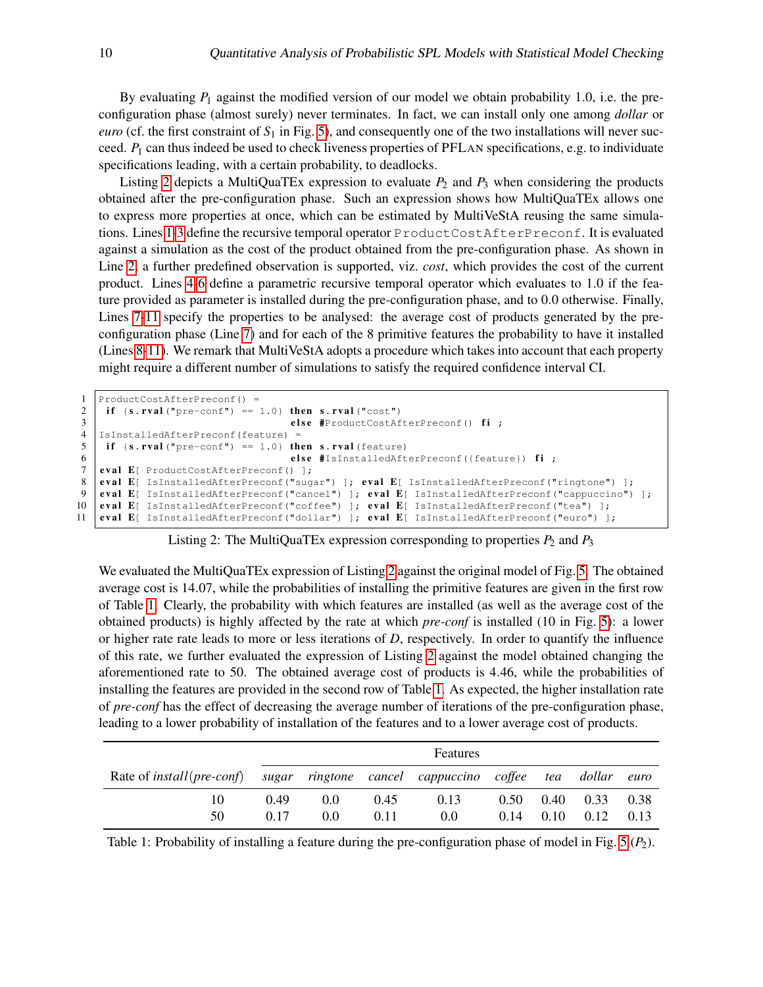By evaluating  $P_1$  against the modified version of our model we obtain probability 1.0, i.e. the preconfiguration phase (almost surely) never terminates. In fact, we can install only one among *dollar* or *euro* (cf. the first constraint of  $S_1$  in Fig. [5\)](#page-6-0), and consequently one of the two installations will never succeed. *P*<sup>1</sup> can thus indeed be used to check liveness properties of PFLAN specifications, e.g. to individuate specifications leading, with a certain probability, to deadlocks.

Listing [2](#page-9-0) depicts a MultiQuaTEx expression to evaluate  $P_2$  and  $P_3$  when considering the products obtained after the pre-configuration phase. Such an expression shows how MultiQuaTEx allows one to express more properties at once, which can be estimated by MultiVeStA reusing the same simulations. Lines [1](#page-9-1)[-3](#page-9-2) define the recursive temporal operator ProductCostAfterPreconf. It is evaluated against a simulation as the cost of the product obtained from the pre-configuration phase. As shown in Line [2,](#page-9-3) a further predefined observation is supported, viz. *cost*, which provides the cost of the current product. Lines [4](#page-9-4)[-6](#page-9-5) define a parametric recursive temporal operator which evaluates to 1.0 if the feature provided as parameter is installed during the pre-configuration phase, and to 0.0 otherwise. Finally, Lines [7-](#page-9-6)[11](#page-9-7) specify the properties to be analysed: the average cost of products generated by the preconfiguration phase (Line [7\)](#page-9-6) and for each of the 8 primitive features the probability to have it installed (Lines [8](#page-9-8)[-11\)](#page-9-7). We remark that MultiVeStA adopts a procedure which takes into account that each property might require a different number of simulations to satisfy the required confidence interval CI.

```
1 ProductCostAfterPreconf() =<br>2 if {s.rval("pre-conf") ==
2 if \{s.\texttt{rval}("pre-conf") == 1.0\} then s.\texttt{rval}("cost")<br>else #ProductCostAf
                                        else #ProductCostAfterPreconf() fi ;
4 IsInstalledAfterPreconf(feature) =
5 if {s.rval("pre-conf") == 1.0} then s.rval(feature)
6 else #IsInstalledAfterPreconf({feature}) fi
7 eval E[ ProductCostAfterPreconf() ];<br>8 eval E[ IsInstalledAfterPreconf("sug
    eval E[ IsInstalledAfterPreconf("sugar") ]; eval E[ IsInstalledAfterPreconf("ringtone") ];
9 eval E[ IsInstalledAfterPreconf("cancel") ]; eval E[ IsInstalledAfterPreconf("cappuccino") ];
10 eval E[ IsInstalledAfterPreconf("coffee") ]; eval E[ IsInstalledAfterPreconf("tea") ];
11 eval E[ IsInstalledAfterPreconf("dollar") ]; eval E[ IsInstalledAfterPreconf("euro") ];
```
Listing 2: The MultiQuaTEx expression corresponding to properties  $P_2$  and  $P_3$ 

<span id="page-9-7"></span>We evaluated the MultiQuaTEx expression of Listing [2](#page-9-0) against the original model of Fig. [5.](#page-6-0) The obtained average cost is 14.07, while the probabilities of installing the primitive features are given in the first row of Table [1.](#page-9-9) Clearly, the probability with which features are installed (as well as the average cost of the obtained products) is highly affected by the rate at which *pre-conf* is installed (10 in Fig. [5\)](#page-6-0): a lower or higher rate rate leads to more or less iterations of *D*, respectively. In order to quantify the influence of this rate, we further evaluated the expression of Listing [2](#page-9-0) against the model obtained changing the aforementioned rate to 50. The obtained average cost of products is 4.46, while the probabilities of installing the features are provided in the second row of Table [1.](#page-9-9) As expected, the higher installation rate of *pre-conf* has the effect of decreasing the average number of iterations of the pre-configuration phase, leading to a lower probability of installation of the features and to a lower average cost of products.

|                                                                               | Features |     |      |      |      |      |      |      |
|-------------------------------------------------------------------------------|----------|-----|------|------|------|------|------|------|
| Rate of install (pre-conf) sugar ringtone cancel cappuccino coffee tea dollar |          |     |      |      |      |      |      | euro |
| 10                                                                            | 0.49     | 0.0 | 0.45 | 0.13 | 0.50 | 0.40 | 0.33 | 0.38 |
| 50                                                                            | 0.17     | 0.0 | 0.11 | 0.0  | 0.14 | 0.10 | 0.12 | 0.13 |

<span id="page-9-9"></span>Table 1: Probability of installing a feature during the pre-configuration phase of model in Fig. [5](#page-6-0) (*P*2).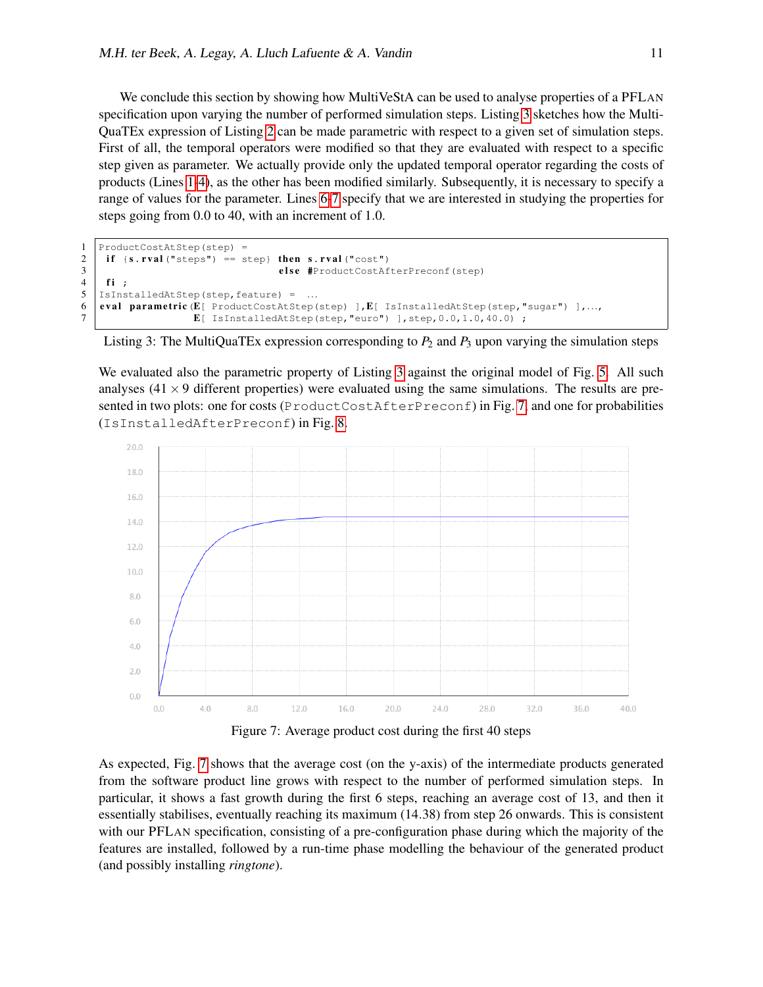We conclude this section by showing how MultiVeStA can be used to analyse properties of a PFLAN specification upon varying the number of performed simulation steps. Listing [3](#page-10-0) sketches how the Multi-QuaTEx expression of Listing [2](#page-9-0) can be made parametric with respect to a given set of simulation steps. First of all, the temporal operators were modified so that they are evaluated with respect to a specific step given as parameter. We actually provide only the updated temporal operator regarding the costs of products (Lines [1](#page-10-1)[-4\)](#page-10-2), as the other has been modified similarly. Subsequently, it is necessary to specify a range of values for the parameter. Lines [6](#page-10-3)[-7](#page-10-4) specify that we are interested in studying the properties for steps going from 0.0 to 40, with an increment of 1.0.

```
1 ProductCostAtStep(step) =
2 if \{s.\texttt{rval}("steps") == step\} then s.\texttt{rval}("cost")<br>else #ProductCostAf
                                                3 e l s e #ProductCostAfterPreconf(step)
\begin{array}{c|c} 4 & \text{fi} \\ 5 & \text{IsIns} \end{array}5 | IsInstalledAtStep(step, feature) = ...<br>6 | eval parametric (E[ ProductCostAtStep(
    eval parametric (E[ ProductCostAtStep(step) ], E[ IsInstalledAtStep(step, "sugar") ],...
7 | E[ IsInstalledAtStep(step, "euro") ], step, 0.0, 1.0, 40.0) ;
```
<span id="page-10-4"></span><span id="page-10-3"></span>Listing 3: The MultiQuaTEx expression corresponding to  $P_2$  and  $P_3$  upon varying the simulation steps

We evaluated also the parametric property of Listing [3](#page-10-0) against the original model of Fig. [5.](#page-6-0) All such analyses  $(41 \times 9)$  different properties) were evaluated using the same simulations. The results are presented in two plots: one for costs (ProductCostAfterPreconf) in Fig. [7,](#page-10-5) and one for probabilities (IsInstalledAfterPreconf) in Fig. [8.](#page-11-1)



<span id="page-10-5"></span>Figure 7: Average product cost during the first 40 steps

As expected, Fig. [7](#page-10-5) shows that the average cost (on the y-axis) of the intermediate products generated from the software product line grows with respect to the number of performed simulation steps. In particular, it shows a fast growth during the first 6 steps, reaching an average cost of 13, and then it essentially stabilises, eventually reaching its maximum (14.38) from step 26 onwards. This is consistent with our PFLAN specification, consisting of a pre-configuration phase during which the majority of the features are installed, followed by a run-time phase modelling the behaviour of the generated product (and possibly installing *ringtone*).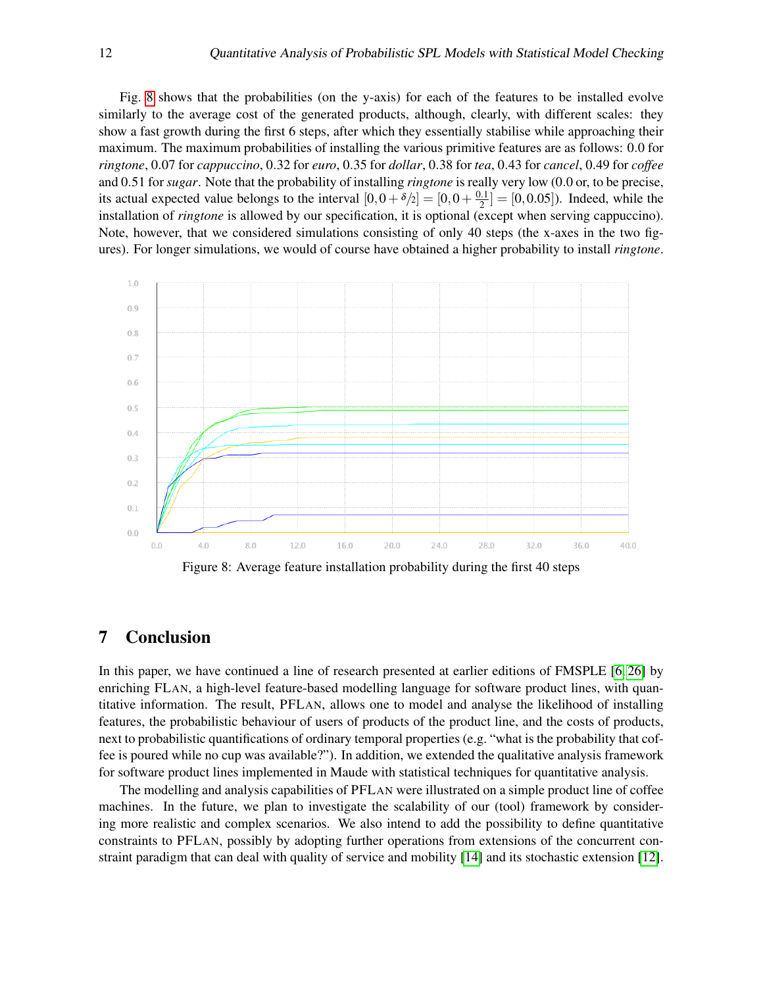Fig. [8](#page-11-1) shows that the probabilities (on the y-axis) for each of the features to be installed evolve similarly to the average cost of the generated products, although, clearly, with different scales: they show a fast growth during the first 6 steps, after which they essentially stabilise while approaching their maximum. The maximum probabilities of installing the various primitive features are as follows: 0.0 for *ringtone*, 0.07 for *cappuccino*, 0.32 for *euro*, 0.35 for *dollar*, 0.38 for *tea*, 0.43 for *cancel*, 0.49 for *coffee* and 0.51 for *sugar*. Note that the probability of installing *ringtone* is really very low (0.0 or, to be precise, its actual expected value belongs to the interval  $[0,0+\delta/2] = [0,0+\frac{0.1}{2}]$  $\left[\frac{0.1}{2}\right] = [0, 0.05]$ . Indeed, while the installation of *ringtone* is allowed by our specification, it is optional (except when serving cappuccino). Note, however, that we considered simulations consisting of only 40 steps (the x-axes in the two figures). For longer simulations, we would of course have obtained a higher probability to install *ringtone*.



<span id="page-11-1"></span>Figure 8: Average feature installation probability during the first 40 steps

# <span id="page-11-0"></span>7 Conclusion

In this paper, we have continued a line of research presented at earlier editions of FMSPLE [\[6,](#page-12-3) [26\]](#page-13-14) by enriching FLAN, a high-level feature-based modelling language for software product lines, with quantitative information. The result, PFLAN, allows one to model and analyse the likelihood of installing features, the probabilistic behaviour of users of products of the product line, and the costs of products, next to probabilistic quantifications of ordinary temporal properties (e.g. "what is the probability that coffee is poured while no cup was available?"). In addition, we extended the qualitative analysis framework for software product lines implemented in Maude with statistical techniques for quantitative analysis.

The modelling and analysis capabilities of PFLAN were illustrated on a simple product line of coffee machines. In the future, we plan to investigate the scalability of our (tool) framework by considering more realistic and complex scenarios. We also intend to add the possibility to define quantitative constraints to PFLAN, possibly by adopting further operations from extensions of the concurrent constraint paradigm that can deal with quality of service and mobility [\[14\]](#page-13-9) and its stochastic extension [\[12\]](#page-13-10).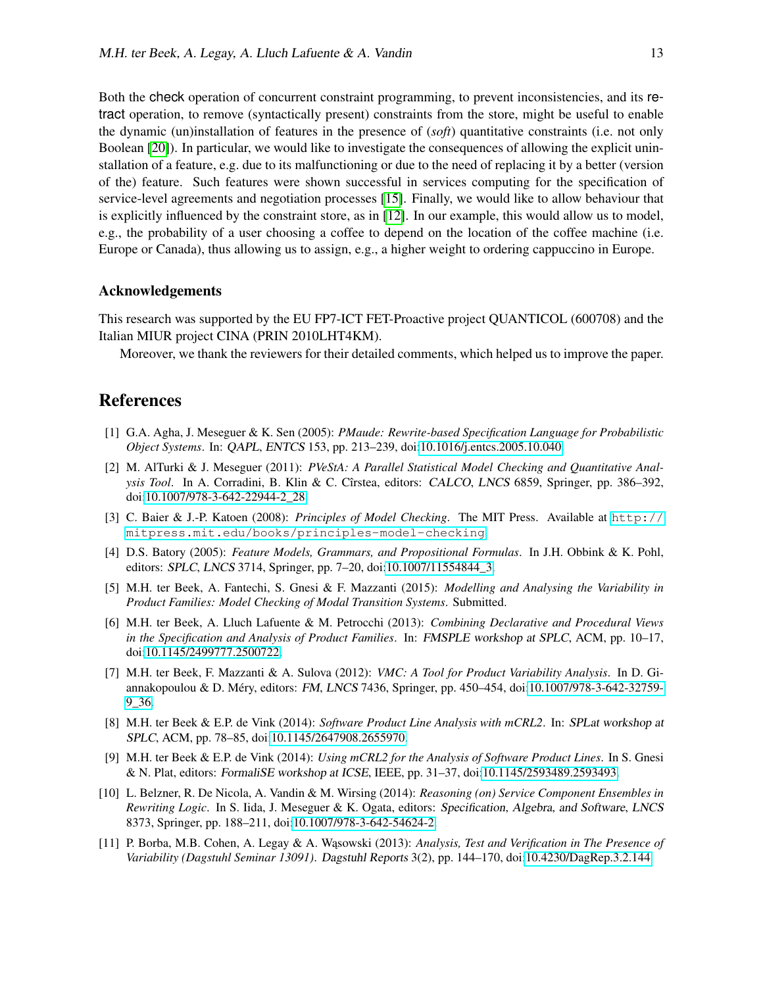Both the check operation of concurrent constraint programming, to prevent inconsistencies, and its retract operation, to remove (syntactically present) constraints from the store, might be useful to enable the dynamic (un)installation of features in the presence of (*soft*) quantitative constraints (i.e. not only Boolean [\[20\]](#page-13-15)). In particular, we would like to investigate the consequences of allowing the explicit uninstallation of a feature, e.g. due to its malfunctioning or due to the need of replacing it by a better (version of the) feature. Such features were shown successful in services computing for the specification of service-level agreements and negotiation processes [\[15\]](#page-13-16). Finally, we would like to allow behaviour that is explicitly influenced by the constraint store, as in [\[12\]](#page-13-10). In our example, this would allow us to model, e.g., the probability of a user choosing a coffee to depend on the location of the coffee machine (i.e. Europe or Canada), thus allowing us to assign, e.g., a higher weight to ordering cappuccino in Europe.

#### Acknowledgements

This research was supported by the EU FP7-ICT FET-Proactive project QUANTICOL (600708) and the Italian MIUR project CINA (PRIN 2010LHT4KM).

Moreover, we thank the reviewers for their detailed comments, which helped us to improve the paper.

#### References

- <span id="page-12-8"></span>[1] G.A. Agha, J. Meseguer & K. Sen (2005): *PMaude: Rewrite-based Specification Language for Probabilistic Object Systems*. In: QAPL, ENTCS 153, pp. 213–239, doi[:10.1016/j.entcs.2005.10.040.](http://dx.doi.org/10.1016/j.entcs.2005.10.040)
- <span id="page-12-6"></span>[2] M. AlTurki & J. Meseguer (2011): *PVeStA: A Parallel Statistical Model Checking and Quantitative Analysis Tool*. In A. Corradini, B. Klin & C. Cîrstea, editors: CALCO, LNCS 6859, Springer, pp. 386–392, doi[:10.1007/978-3-642-22944-2\\_28.](http://dx.doi.org/10.1007/978-3-642-22944-2_28)
- <span id="page-12-4"></span>[3] C. Baier & J.-P. Katoen (2008): *Principles of Model Checking*. The MIT Press. Available at [http://](http://mitpress.mit.edu/books/principles-model-checking) [mitpress.mit.edu/books/principles-model-checking](http://mitpress.mit.edu/books/principles-model-checking).
- <span id="page-12-5"></span>[4] D.S. Batory (2005): *Feature Models, Grammars, and Propositional Formulas*. In J.H. Obbink & K. Pohl, editors: SPLC, LNCS 3714, Springer, pp. 7–20, doi[:10.1007/11554844\\_3.](http://dx.doi.org/10.1007/11554844_3)
- <span id="page-12-0"></span>[5] M.H. ter Beek, A. Fantechi, S. Gnesi & F. Mazzanti (2015): *Modelling and Analysing the Variability in Product Families: Model Checking of Modal Transition Systems*. Submitted.
- <span id="page-12-3"></span>[6] M.H. ter Beek, A. Lluch Lafuente & M. Petrocchi (2013): *Combining Declarative and Procedural Views in the Specification and Analysis of Product Families*. In: FMSPLE workshop at SPLC, ACM, pp. 10–17, doi[:10.1145/2499777.2500722.](http://dx.doi.org/10.1145/2499777.2500722)
- [7] M.H. ter Beek, F. Mazzanti & A. Sulova (2012): *VMC: A Tool for Product Variability Analysis*. In D. Giannakopoulou & D. Méry, editors: FM, LNCS 7436, Springer, pp. 450–454, doi[:10.1007/978-3-642-32759-](http://dx.doi.org/10.1007/978-3-642-32759-9_36) [9\\_36.](http://dx.doi.org/10.1007/978-3-642-32759-9_36)
- [8] M.H. ter Beek & E.P. de Vink (2014): *Software Product Line Analysis with mCRL2*. In: SPLat workshop at SPLC, ACM, pp. 78–85, doi[:10.1145/2647908.2655970.](http://dx.doi.org/10.1145/2647908.2655970)
- <span id="page-12-1"></span>[9] M.H. ter Beek & E.P. de Vink (2014): *Using mCRL2 for the Analysis of Software Product Lines*. In S. Gnesi & N. Plat, editors: FormaliSE workshop at ICSE, IEEE, pp. 31–37, doi[:10.1145/2593489.2593493.](http://dx.doi.org/10.1145/2593489.2593493)
- <span id="page-12-7"></span>[10] L. Belzner, R. De Nicola, A. Vandin & M. Wirsing (2014): *Reasoning (on) Service Component Ensembles in Rewriting Logic*. In S. Iida, J. Meseguer & K. Ogata, editors: Specification, Algebra, and Software, LNCS 8373, Springer, pp. 188–211, doi[:10.1007/978-3-642-54624-2.](http://dx.doi.org/10.1007/978-3-642-54624-2)
- <span id="page-12-2"></span>[11] P. Borba, M.B. Cohen, A. Legay & A. W ˛asowski (2013): *Analysis, Test and Verification in The Presence of Variability (Dagstuhl Seminar 13091)*. Dagstuhl Reports 3(2), pp. 144–170, doi[:10.4230/DagRep.3.2.144.](http://dx.doi.org/10.4230/DagRep.3.2.144)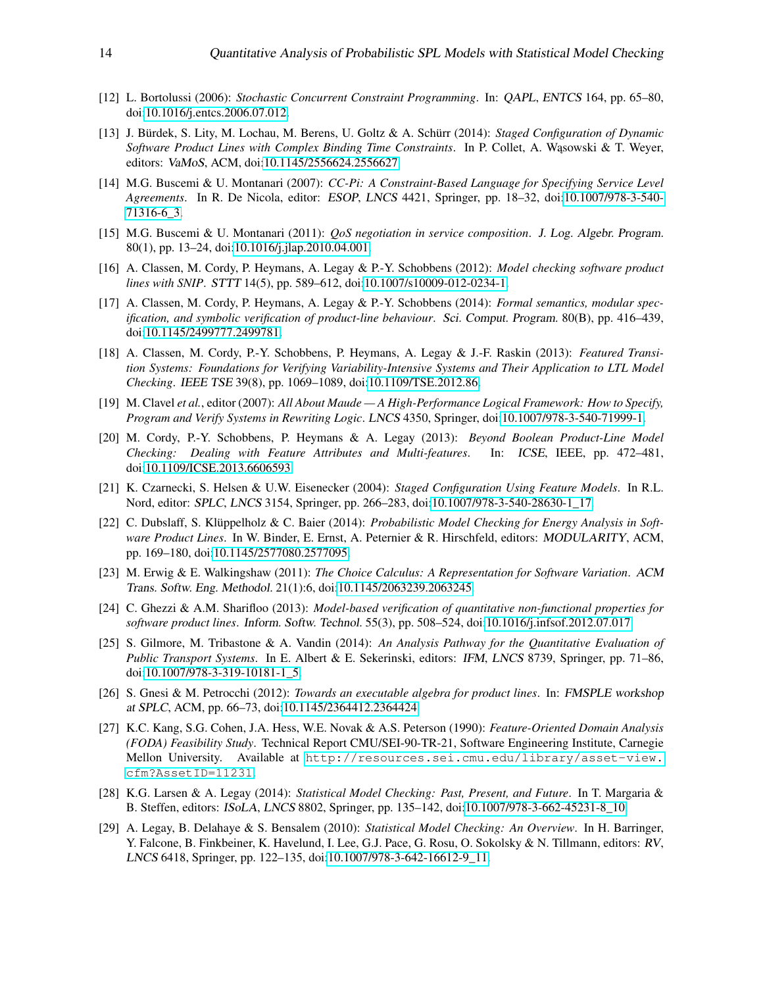- <span id="page-13-10"></span>[12] L. Bortolussi (2006): *Stochastic Concurrent Constraint Programming*. In: QAPL, ENTCS 164, pp. 65–80, doi[:10.1016/j.entcs.2006.07.012.](http://dx.doi.org/10.1016/j.entcs.2006.07.012)
- <span id="page-13-11"></span>[13] J. Bürdek, S. Lity, M. Lochau, M. Berens, U. Goltz & A. Schürr (2014): *Staged Configuration of Dynamic Software Product Lines with Complex Binding Time Constraints. In P. Collet, A. Wasowski & T. Weyer,* editors: VaMoS, ACM, doi[:10.1145/2556624.2556627.](http://dx.doi.org/10.1145/2556624.2556627)
- <span id="page-13-9"></span>[14] M.G. Buscemi & U. Montanari (2007): *CC-Pi: A Constraint-Based Language for Specifying Service Level Agreements*. In R. De Nicola, editor: ESOP, LNCS 4421, Springer, pp. 18–32, doi[:10.1007/978-3-540-](http://dx.doi.org/10.1007/978-3-540-71316-6_3) [71316-6\\_3.](http://dx.doi.org/10.1007/978-3-540-71316-6_3)
- <span id="page-13-16"></span>[15] M.G. Buscemi & U. Montanari (2011): *QoS negotiation in service composition*. J. Log. Algebr. Program. 80(1), pp. 13–24, doi[:10.1016/j.jlap.2010.04.001.](http://dx.doi.org/10.1016/j.jlap.2010.04.001)
- <span id="page-13-0"></span>[16] A. Classen, M. Cordy, P. Heymans, A. Legay & P.-Y. Schobbens (2012): *Model checking software product lines with SNIP*. STTT 14(5), pp. 589–612, doi[:10.1007/s10009-012-0234-1.](http://dx.doi.org/10.1007/s10009-012-0234-1)
- [17] A. Classen, M. Cordy, P. Heymans, A. Legay & P.-Y. Schobbens (2014): *Formal semantics, modular specification, and symbolic verification of product-line behaviour*. Sci. Comput. Program. 80(B), pp. 416–439, doi[:10.1145/2499777.2499781.](http://dx.doi.org/10.1145/2499777.2499781)
- <span id="page-13-1"></span>[18] A. Classen, M. Cordy, P.-Y. Schobbens, P. Heymans, A. Legay & J.-F. Raskin (2013): *Featured Transition Systems: Foundations for Verifying Variability-Intensive Systems and Their Application to LTL Model Checking*. IEEE TSE 39(8), pp. 1069–1089, doi[:10.1109/TSE.2012.86.](http://dx.doi.org/10.1109/TSE.2012.86)
- <span id="page-13-3"></span>[19] M. Clavel *et al.*, editor (2007): *All About Maude — A High-Performance Logical Framework: How to Specify, Program and Verify Systems in Rewriting Logic*. LNCS 4350, Springer, doi[:10.1007/978-3-540-71999-1.](http://dx.doi.org/10.1007/978-3-540-71999-1)
- <span id="page-13-15"></span>[20] M. Cordy, P.-Y. Schobbens, P. Heymans & A. Legay (2013): *Beyond Boolean Product-Line Model Checking: Dealing with Feature Attributes and Multi-features*. In: ICSE, IEEE, pp. 472–481, doi[:10.1109/ICSE.2013.6606593.](http://dx.doi.org/10.1109/ICSE.2013.6606593)
- <span id="page-13-12"></span>[21] K. Czarnecki, S. Helsen & U.W. Eisenecker (2004): *Staged Configuration Using Feature Models*. In R.L. Nord, editor: SPLC, LNCS 3154, Springer, pp. 266–283, doi[:10.1007/978-3-540-28630-1\\_17.](http://dx.doi.org/10.1007/978-3-540-28630-1_17)
- <span id="page-13-6"></span>[22] C. Dubslaff, S. Klüppelholz & C. Baier (2014): *Probabilistic Model Checking for Energy Analysis in Software Product Lines*. In W. Binder, E. Ernst, A. Peternier & R. Hirschfeld, editors: MODULARITY, ACM, pp. 169–180, doi[:10.1145/2577080.2577095.](http://dx.doi.org/10.1145/2577080.2577095)
- <span id="page-13-2"></span>[23] M. Erwig & E. Walkingshaw (2011): *The Choice Calculus: A Representation for Software Variation*. ACM Trans. Softw. Eng. Methodol. 21(1):6, doi[:10.1145/2063239.2063245.](http://dx.doi.org/10.1145/2063239.2063245)
- <span id="page-13-7"></span>[24] C. Ghezzi & A.M. Sharifloo (2013): *Model-based verification of quantitative non-functional properties for software product lines*. Inform. Softw. Technol. 55(3), pp. 508–524, doi[:10.1016/j.infsof.2012.07.017.](http://dx.doi.org/10.1016/j.infsof.2012.07.017)
- <span id="page-13-13"></span>[25] S. Gilmore, M. Tribastone & A. Vandin (2014): *An Analysis Pathway for the Quantitative Evaluation of Public Transport Systems*. In E. Albert & E. Sekerinski, editors: IFM, LNCS 8739, Springer, pp. 71–86, doi[:10.1007/978-3-319-10181-1\\_5.](http://dx.doi.org/10.1007/978-3-319-10181-1_5)
- <span id="page-13-14"></span>[26] S. Gnesi & M. Petrocchi (2012): *Towards an executable algebra for product lines*. In: FMSPLE workshop at SPLC, ACM, pp. 66–73, doi[:10.1145/2364412.2364424.](http://dx.doi.org/10.1145/2364412.2364424)
- <span id="page-13-8"></span>[27] K.C. Kang, S.G. Cohen, J.A. Hess, W.E. Novak & A.S. Peterson (1990): *Feature-Oriented Domain Analysis (FODA) Feasibility Study*. Technical Report CMU/SEI-90-TR-21, Software Engineering Institute, Carnegie Mellon University. Available at [http://resources.sei.cmu.edu/library/asset-view.](http://resources.sei.cmu.edu/library/asset-view.cfm?AssetID=11231) [cfm?AssetID=11231](http://resources.sei.cmu.edu/library/asset-view.cfm?AssetID=11231).
- <span id="page-13-4"></span>[28] K.G. Larsen & A. Legay (2014): *Statistical Model Checking: Past, Present, and Future*. In T. Margaria & B. Steffen, editors: ISoLA, LNCS 8802, Springer, pp. 135–142, doi[:10.1007/978-3-662-45231-8\\_10.](http://dx.doi.org/10.1007/978-3-662-45231-8_10)
- <span id="page-13-5"></span>[29] A. Legay, B. Delahaye & S. Bensalem (2010): *Statistical Model Checking: An Overview*. In H. Barringer, Y. Falcone, B. Finkbeiner, K. Havelund, I. Lee, G.J. Pace, G. Rosu, O. Sokolsky & N. Tillmann, editors: RV, LNCS 6418, Springer, pp. 122–135, doi[:10.1007/978-3-642-16612-9\\_11.](http://dx.doi.org/10.1007/978-3-642-16612-9_11)